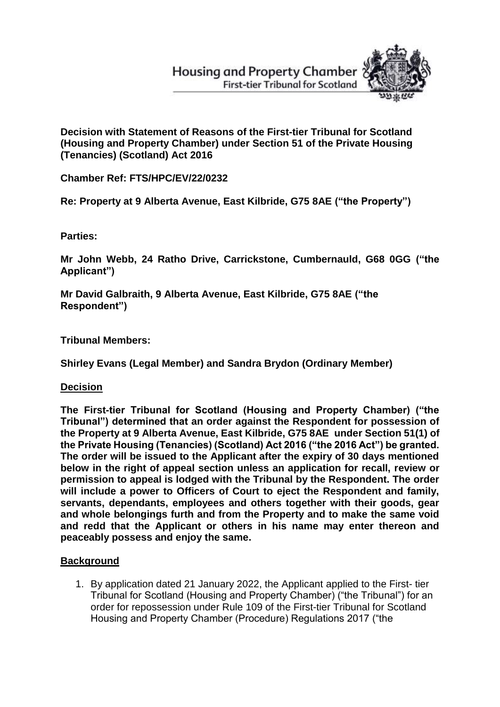# **Housing and Property Chamber First-tier Tribunal for Scotland**



**Decision with Statement of Reasons of the First-tier Tribunal for Scotland (Housing and Property Chamber) under Section 51 of the Private Housing (Tenancies) (Scotland) Act 2016**

**Chamber Ref: FTS/HPC/EV/22/0232**

**Re: Property at 9 Alberta Avenue, East Kilbride, G75 8AE ("the Property")**

**Parties:**

**Mr John Webb, 24 Ratho Drive, Carrickstone, Cumbernauld, G68 0GG ("the Applicant")**

**Mr David Galbraith, 9 Alberta Avenue, East Kilbride, G75 8AE ("the Respondent")** 

**Tribunal Members:**

**Shirley Evans (Legal Member) and Sandra Brydon (Ordinary Member)**

**Decision** 

**The First-tier Tribunal for Scotland (Housing and Property Chamber) ("the Tribunal") determined that an order against the Respondent for possession of the Property at 9 Alberta Avenue, East Kilbride, G75 8AE under Section 51(1) of the Private Housing (Tenancies) (Scotland) Act 2016 ("the 2016 Act") be granted. The order will be issued to the Applicant after the expiry of 30 days mentioned below in the right of appeal section unless an application for recall, review or permission to appeal is lodged with the Tribunal by the Respondent. The order will include a power to Officers of Court to eject the Respondent and family, servants, dependants, employees and others together with their goods, gear and whole belongings furth and from the Property and to make the same void and redd that the Applicant or others in his name may enter thereon and peaceably possess and enjoy the same.**

## **Background**

1. By application dated 21 January 2022, the Applicant applied to the First- tier Tribunal for Scotland (Housing and Property Chamber) ("the Tribunal") for an order for repossession under Rule 109 of the First-tier Tribunal for Scotland Housing and Property Chamber (Procedure) Regulations 2017 ("the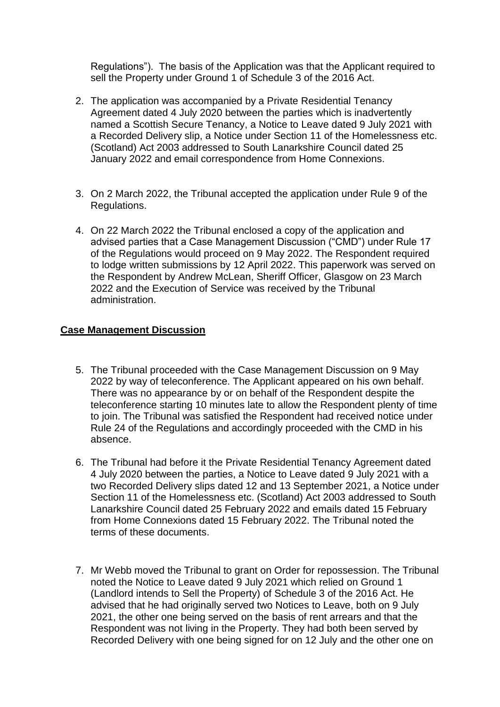Regulations"). The basis of the Application was that the Applicant required to sell the Property under Ground 1 of Schedule 3 of the 2016 Act.

- 2. The application was accompanied by a Private Residential Tenancy Agreement dated 4 July 2020 between the parties which is inadvertently named a Scottish Secure Tenancy, a Notice to Leave dated 9 July 2021 with a Recorded Delivery slip, a Notice under Section 11 of the Homelessness etc. (Scotland) Act 2003 addressed to South Lanarkshire Council dated 25 January 2022 and email correspondence from Home Connexions.
- 3. On 2 March 2022, the Tribunal accepted the application under Rule 9 of the Regulations.
- 4. On 22 March 2022 the Tribunal enclosed a copy of the application and advised parties that a Case Management Discussion ("CMD") under Rule 17 of the Regulations would proceed on 9 May 2022. The Respondent required to lodge written submissions by 12 April 2022. This paperwork was served on the Respondent by Andrew McLean, Sheriff Officer, Glasgow on 23 March 2022 and the Execution of Service was received by the Tribunal administration.

## **Case Management Discussion**

- 5. The Tribunal proceeded with the Case Management Discussion on 9 May 2022 by way of teleconference. The Applicant appeared on his own behalf. There was no appearance by or on behalf of the Respondent despite the teleconference starting 10 minutes late to allow the Respondent plenty of time to join. The Tribunal was satisfied the Respondent had received notice under Rule 24 of the Regulations and accordingly proceeded with the CMD in his absence.
- 6. The Tribunal had before it the Private Residential Tenancy Agreement dated 4 July 2020 between the parties, a Notice to Leave dated 9 July 2021 with a two Recorded Delivery slips dated 12 and 13 September 2021, a Notice under Section 11 of the Homelessness etc. (Scotland) Act 2003 addressed to South Lanarkshire Council dated 25 February 2022 and emails dated 15 February from Home Connexions dated 15 February 2022. The Tribunal noted the terms of these documents.
- 7. Mr Webb moved the Tribunal to grant on Order for repossession. The Tribunal noted the Notice to Leave dated 9 July 2021 which relied on Ground 1 (Landlord intends to Sell the Property) of Schedule 3 of the 2016 Act. He advised that he had originally served two Notices to Leave, both on 9 July 2021, the other one being served on the basis of rent arrears and that the Respondent was not living in the Property. They had both been served by Recorded Delivery with one being signed for on 12 July and the other one on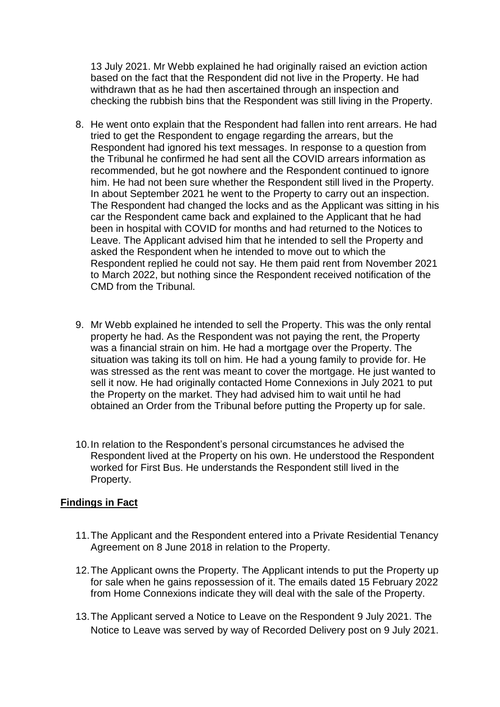13 July 2021. Mr Webb explained he had originally raised an eviction action based on the fact that the Respondent did not live in the Property. He had withdrawn that as he had then ascertained through an inspection and checking the rubbish bins that the Respondent was still living in the Property.

- 8. He went onto explain that the Respondent had fallen into rent arrears. He had tried to get the Respondent to engage regarding the arrears, but the Respondent had ignored his text messages. In response to a question from the Tribunal he confirmed he had sent all the COVID arrears information as recommended, but he got nowhere and the Respondent continued to ignore him. He had not been sure whether the Respondent still lived in the Property. In about September 2021 he went to the Property to carry out an inspection. The Respondent had changed the locks and as the Applicant was sitting in his car the Respondent came back and explained to the Applicant that he had been in hospital with COVID for months and had returned to the Notices to Leave. The Applicant advised him that he intended to sell the Property and asked the Respondent when he intended to move out to which the Respondent replied he could not say. He them paid rent from November 2021 to March 2022, but nothing since the Respondent received notification of the CMD from the Tribunal.
- 9. Mr Webb explained he intended to sell the Property. This was the only rental property he had. As the Respondent was not paying the rent, the Property was a financial strain on him. He had a mortgage over the Property. The situation was taking its toll on him. He had a young family to provide for. He was stressed as the rent was meant to cover the mortgage. He just wanted to sell it now. He had originally contacted Home Connexions in July 2021 to put the Property on the market. They had advised him to wait until he had obtained an Order from the Tribunal before putting the Property up for sale.
- 10.In relation to the Respondent's personal circumstances he advised the Respondent lived at the Property on his own. He understood the Respondent worked for First Bus. He understands the Respondent still lived in the Property.

#### **Findings in Fact**

- 11.The Applicant and the Respondent entered into a Private Residential Tenancy Agreement on 8 June 2018 in relation to the Property.
- 12.The Applicant owns the Property. The Applicant intends to put the Property up for sale when he gains repossession of it. The emails dated 15 February 2022 from Home Connexions indicate they will deal with the sale of the Property.
- 13.The Applicant served a Notice to Leave on the Respondent 9 July 2021. The Notice to Leave was served by way of Recorded Delivery post on 9 July 2021.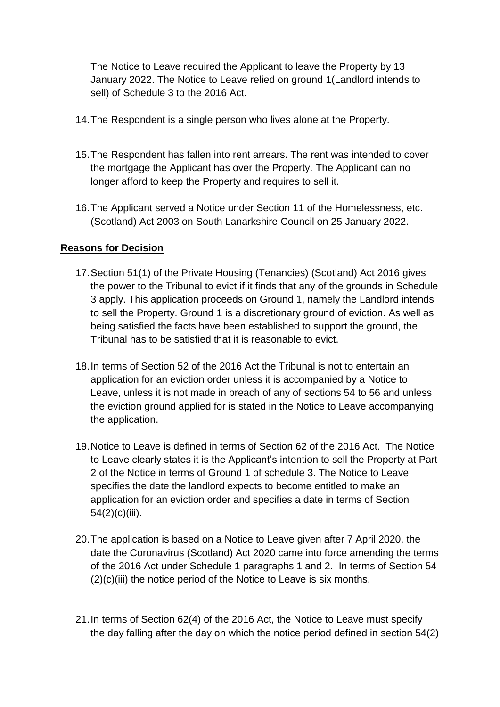The Notice to Leave required the Applicant to leave the Property by 13 January 2022. The Notice to Leave relied on ground 1(Landlord intends to sell) of Schedule 3 to the 2016 Act.

- 14.The Respondent is a single person who lives alone at the Property.
- 15.The Respondent has fallen into rent arrears. The rent was intended to cover the mortgage the Applicant has over the Property. The Applicant can no longer afford to keep the Property and requires to sell it.
- 16.The Applicant served a Notice under Section 11 of the Homelessness, etc. (Scotland) Act 2003 on South Lanarkshire Council on 25 January 2022.

## **Reasons for Decision**

- 17.Section 51(1) of the Private Housing (Tenancies) (Scotland) Act 2016 gives the power to the Tribunal to evict if it finds that any of the grounds in Schedule 3 apply. This application proceeds on Ground 1, namely the Landlord intends to sell the Property. Ground 1 is a discretionary ground of eviction. As well as being satisfied the facts have been established to support the ground, the Tribunal has to be satisfied that it is reasonable to evict.
- 18.In terms of Section 52 of the 2016 Act the Tribunal is not to entertain an application for an eviction order unless it is accompanied by a Notice to Leave, unless it is not made in breach of any of sections 54 to 56 and unless the eviction ground applied for is stated in the Notice to Leave accompanying the application.
- 19.Notice to Leave is defined in terms of Section 62 of the 2016 Act. The Notice to Leave clearly states it is the Applicant's intention to sell the Property at Part 2 of the Notice in terms of Ground 1 of schedule 3. The Notice to Leave specifies the date the landlord expects to become entitled to make an application for an eviction order and specifies a date in terms of Section 54(2)(c)(iii).
- 20.The application is based on a Notice to Leave given after 7 April 2020, the date the Coronavirus (Scotland) Act 2020 came into force amending the terms of the 2016 Act under Schedule 1 paragraphs 1 and 2. In terms of Section 54  $(2)(c)(iii)$  the notice period of the Notice to Leave is six months.
- 21.In terms of Section 62(4) of the 2016 Act, the Notice to Leave must specify the day falling after the day on which the notice period defined in section 54(2)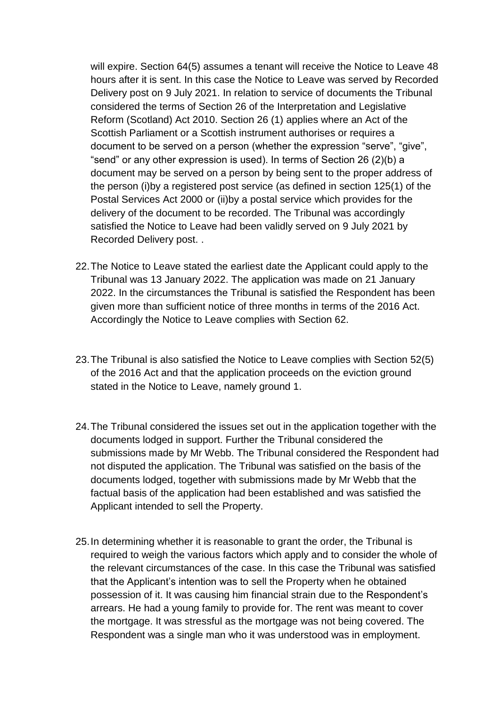will expire. Section 64(5) assumes a tenant will receive the Notice to Leave 48 hours after it is sent. In this case the Notice to Leave was served by Recorded Delivery post on 9 July 2021. In relation to service of documents the Tribunal considered the terms of Section 26 of the Interpretation and Legislative Reform (Scotland) Act 2010. Section 26 (1) applies where an Act of the Scottish Parliament or a Scottish instrument authorises or requires a document to be served on a person (whether the expression "serve", "give", "send" or any other expression is used). In terms of Section 26 (2)(b) a document may be served on a person by being sent to the proper address of the person (i)by a registered post service (as defined in section 125(1) of the Postal Services Act 2000 or (ii)by a postal service which provides for the delivery of the document to be recorded. The Tribunal was accordingly satisfied the Notice to Leave had been validly served on 9 July 2021 by Recorded Delivery post. .

- 22.The Notice to Leave stated the earliest date the Applicant could apply to the Tribunal was 13 January 2022. The application was made on 21 January 2022. In the circumstances the Tribunal is satisfied the Respondent has been given more than sufficient notice of three months in terms of the 2016 Act. Accordingly the Notice to Leave complies with Section 62.
- 23.The Tribunal is also satisfied the Notice to Leave complies with Section 52(5) of the 2016 Act and that the application proceeds on the eviction ground stated in the Notice to Leave, namely ground 1.
- 24.The Tribunal considered the issues set out in the application together with the documents lodged in support. Further the Tribunal considered the submissions made by Mr Webb. The Tribunal considered the Respondent had not disputed the application. The Tribunal was satisfied on the basis of the documents lodged, together with submissions made by Mr Webb that the factual basis of the application had been established and was satisfied the Applicant intended to sell the Property.
- 25.In determining whether it is reasonable to grant the order, the Tribunal is required to weigh the various factors which apply and to consider the whole of the relevant circumstances of the case. In this case the Tribunal was satisfied that the Applicant's intention was to sell the Property when he obtained possession of it. It was causing him financial strain due to the Respondent's arrears. He had a young family to provide for. The rent was meant to cover the mortgage. It was stressful as the mortgage was not being covered. The Respondent was a single man who it was understood was in employment.